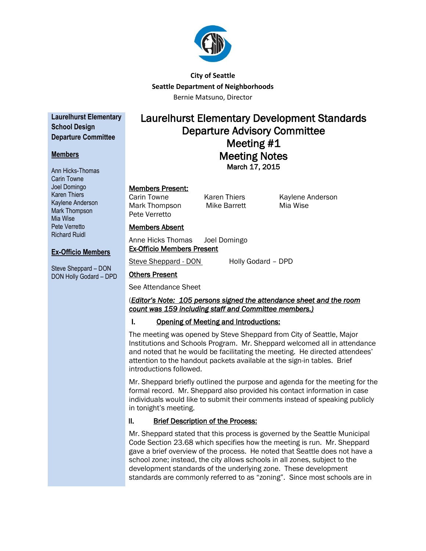

# **City of Seattle Seattle Department of Neighborhoods** Bernie Matsuno, Director

**Laurelhurst Elementary School Design Departure Committee**

## **Members**

Ann Hicks-Thomas Carin Towne Joel Domingo Karen Thiers Kaylene Anderson Mark Thompson Mia Wise Pete Verretto Richard Ruidl

# Laurelhurst Elementary Development Standards Departure Advisory Committee Meeting #1 Meeting Notes

March 17, 2015

# Members Present:

Members Absent

Others Present

Mark Thompson Mike Barrett Mia Wise Pete Verretto

Ex-Officio Members Present

Carin Towne **Karen Thiers** Kaylene Anderson

# Anne Hicks Thomas Joel Domingo

**Ex-Officio Members**

Steve Sheppard – DON DON Holly Godard – DPD

See Attendance Sheet

## (*Editor's Note: 105 persons signed the attendance sheet and the room count was 159 including staff and Committee members.)*

# I. Opening of Meeting and Introductions:

Steve Sheppard - DON Holly Godard – DPD

The meeting was opened by Steve Sheppard from City of Seattle, Major Institutions and Schools Program. Mr. Sheppard welcomed all in attendance and noted that he would be facilitating the meeting. He directed attendees' attention to the handout packets available at the sign-in tables. Brief introductions followed.

Mr. Sheppard briefly outlined the purpose and agenda for the meeting for the formal record. Mr. Sheppard also provided his contact information in case individuals would like to submit their comments instead of speaking publicly in tonight's meeting.

# II. Brief Description of the Process:

Mr. Sheppard stated that this process is governed by the Seattle Municipal Code Section 23.68 which specifies how the meeting is run. Mr. Sheppard gave a brief overview of the process. He noted that Seattle does not have a school zone; instead, the city allows schools in all zones, subject to the development standards of the underlying zone. These development standards are commonly referred to as "zoning". Since most schools are in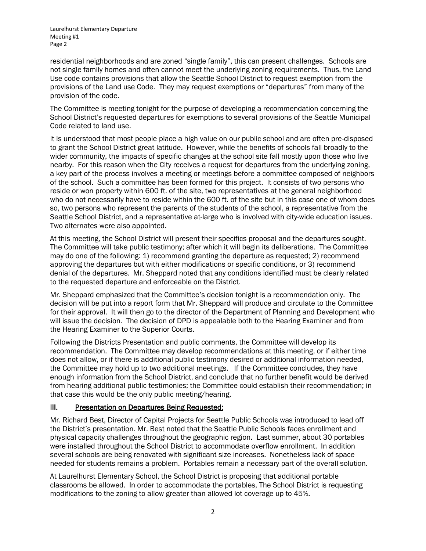residential neighborhoods and are zoned "single family", this can present challenges. Schools are not single family homes and often cannot meet the underlying zoning requirements. Thus, the Land Use code contains provisions that allow the Seattle School District to request exemption from the provisions of the Land use Code. They may request exemptions or "departures" from many of the provision of the code.

The Committee is meeting tonight for the purpose of developing a recommendation concerning the School District's requested departures for exemptions to several provisions of the Seattle Municipal Code related to land use.

It is understood that most people place a high value on our public school and are often pre-disposed to grant the School District great latitude. However, while the benefits of schools fall broadly to the wider community, the impacts of specific changes at the school site fall mostly upon those who live nearby. For this reason when the City receives a request for departures from the underlying zoning, a key part of the process involves a meeting or meetings before a committee composed of neighbors of the school. Such a committee has been formed for this project. It consists of two persons who reside or won property within 600 ft. of the site, two representatives at the general neighborhood who do not necessarily have to reside within the 600 ft. of the site but in this case one of whom does so, two persons who represent the parents of the students of the school, a representative from the Seattle School District, and a representative at-large who is involved with city-wide education issues. Two alternates were also appointed.

At this meeting, the School District will present their specifics proposal and the departures sought. The Committee will take public testimony; after which it will begin its deliberations. The Committee may do one of the following: 1) recommend granting the departure as requested; 2) recommend approving the departures but with either modifications or specific conditions, or 3) recommend denial of the departures. Mr. Sheppard noted that any conditions identified must be clearly related to the requested departure and enforceable on the District.

Mr. Sheppard emphasized that the Committee's decision tonight is a recommendation only. The decision will be put into a report form that Mr. Sheppard will produce and circulate to the Committee for their approval. It will then go to the director of the Department of Planning and Development who will issue the decision. The decision of DPD is appealable both to the Hearing Examiner and from the Hearing Examiner to the Superior Courts.

Following the Districts Presentation and public comments, the Committee will develop its recommendation. The Committee may develop recommendations at this meeting, or if either time does not allow, or if there is additional public testimony desired or additional information needed, the Committee may hold up to two additional meetings. If the Committee concludes, they have enough information from the School District, and conclude that no further benefit would be derived from hearing additional public testimonies; the Committee could establish their recommendation; in that case this would be the only public meeting/hearing.

## III. Presentation on Departures Being Requested:

Mr. Richard Best, Director of Capital Projects for Seattle Public Schools was introduced to lead off the District's presentation. Mr. Best noted that the Seattle Public Schools faces enrollment and physical capacity challenges throughout the geographic region. Last summer, about 30 portables were installed throughout the School District to accommodate overflow enrollment. In addition several schools are being renovated with significant size increases. Nonetheless lack of space needed for students remains a problem. Portables remain a necessary part of the overall solution.

At Laurelhurst Elementary School, the School District is proposing that additional portable classrooms be allowed. In order to accommodate the portables, The School District is requesting modifications to the zoning to allow greater than allowed lot coverage up to 45%.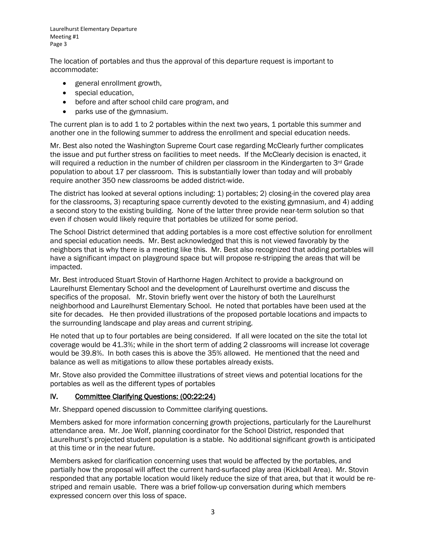The location of portables and thus the approval of this departure request is important to accommodate:

- general enrollment growth,
- special education,
- before and after school child care program, and
- parks use of the gymnasium.

The current plan is to add 1 to 2 portables within the next two years, 1 portable this summer and another one in the following summer to address the enrollment and special education needs.

Mr. Best also noted the Washington Supreme Court case regarding McClearly further complicates the issue and put further stress on facilities to meet needs. If the McClearly decision is enacted, it will required a reduction in the number of children per classroom in the Kindergarten to 3<sup>rd</sup> Grade population to about 17 per classroom. This is substantially lower than today and will probably require another 350 new classrooms be added district-wide.

The district has looked at several options including: 1) portables; 2) closing-in the covered play area for the classrooms, 3) recapturing space currently devoted to the existing gymnasium, and 4) adding a second story to the existing building. None of the latter three provide near-term solution so that even if chosen would likely require that portables be utilized for some period.

The School District determined that adding portables is a more cost effective solution for enrollment and special education needs. Mr. Best acknowledged that this is not viewed favorably by the neighbors that is why there is a meeting like this. Mr. Best also recognized that adding portables will have a significant impact on playground space but will propose re-stripping the areas that will be impacted.

Mr. Best introduced Stuart Stovin of Harthorne Hagen Architect to provide a background on Laurelhurst Elementary School and the development of Laurelhurst overtime and discuss the specifics of the proposal. Mr. Stovin briefly went over the history of both the Laurelhurst neighborhood and Laurelhurst Elementary School. He noted that portables have been used at the site for decades. He then provided illustrations of the proposed portable locations and impacts to the surrounding landscape and play areas and current striping.

He noted that up to four portables are being considered. If all were located on the site the total lot coverage would be 41.3%; while in the short term of adding 2 classrooms will increase lot coverage would be 39.8%. In both cases this is above the 35% allowed. He mentioned that the need and balance as well as mitigations to allow these portables already exists.

Mr. Stove also provided the Committee illustrations of street views and potential locations for the portables as well as the different types of portables

## IV. Committee Clarifying Questions: (00:22:24)

Mr. Sheppard opened discussion to Committee clarifying questions.

Members asked for more information concerning growth projections, particularly for the Laurelhurst attendance area. Mr. Joe Wolf, planning coordinator for the School District, responded that Laurelhurst's projected student population is a stable. No additional significant growth is anticipated at this time or in the near future.

Members asked for clarification concerning uses that would be affected by the portables, and partially how the proposal will affect the current hard-surfaced play area (Kickball Area). Mr. Stovin responded that any portable location would likely reduce the size of that area, but that it would be restriped and remain usable. There was a brief follow-up conversation during which members expressed concern over this loss of space.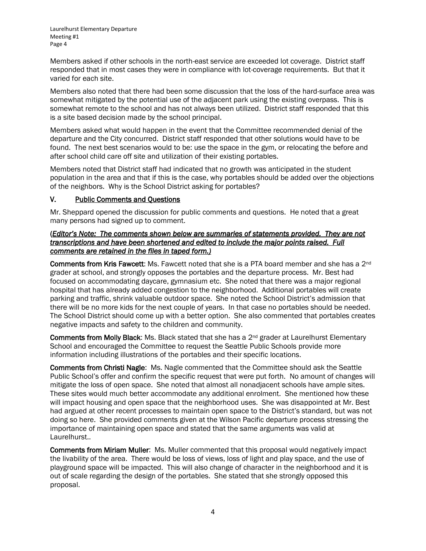Members asked if other schools in the north-east service are exceeded lot coverage. District staff responded that in most cases they were in compliance with lot-coverage requirements. But that it varied for each site.

Members also noted that there had been some discussion that the loss of the hard-surface area was somewhat mitigated by the potential use of the adjacent park using the existing overpass. This is somewhat remote to the school and has not always been utilized. District staff responded that this is a site based decision made by the school principal.

Members asked what would happen in the event that the Committee recommended denial of the departure and the City concurred. District staff responded that other solutions would have to be found. The next best scenarios would to be: use the space in the gym, or relocating the before and after school child care off site and utilization of their existing portables.

Members noted that District staff had indicated that no growth was anticipated in the student population in the area and that if this is the case, why portables should be added over the objections of the neighbors. Why is the School District asking for portables?

## V. Public Comments and Questions

Mr. Sheppard opened the discussion for public comments and questions. He noted that a great many persons had signed up to comment.

#### (*Editor's Note: The comments shown below are summaries of statements provided. They are not transcriptions and have been shortened and edited to include the major points raised. Full comments are retained in the files in taped form.)*

Comments from Kris Fawcett: Ms. Fawcett noted that she is a PTA board member and she has a 2<sup>nd</sup> grader at school, and strongly opposes the portables and the departure process. Mr. Best had focused on accommodating daycare, gymnasium etc. She noted that there was a major regional hospital that has already added congestion to the neighborhood. Additional portables will create parking and traffic, shrink valuable outdoor space. She noted the School District's admission that there will be no more kids for the next couple of years. In that case no portables should be needed. The School District should come up with a better option. She also commented that portables creates negative impacts and safety to the children and community.

Comments from Molly Black: Ms. Black stated that she has a 2<sup>nd</sup> grader at Laurelhurst Elementary School and encouraged the Committee to request the Seattle Public Schools provide more information including illustrations of the portables and their specific locations.

Comments from Christi Nagle: Ms. Nagle commented that the Committee should ask the Seattle Public School's offer and confirm the specific request that were put forth. No amount of changes will mitigate the loss of open space. She noted that almost all nonadjacent schools have ample sites. These sites would much better accommodate any additional enrolment. She mentioned how these will impact housing and open space that the neighborhood uses. She was disappointed at Mr. Best had argued at other recent processes to maintain open space to the District's standard, but was not doing so here. She provided comments given at the Wilson Pacific departure process stressing the importance of maintaining open space and stated that the same arguments was valid at Laurelhurst..

Comments from Miriam Muller: Ms. Muller commented that this proposal would negatively impact the livability of the area. There would be loss of views, loss of light and play space, and the use of playground space will be impacted. This will also change of character in the neighborhood and it is out of scale regarding the design of the portables. She stated that she strongly opposed this proposal.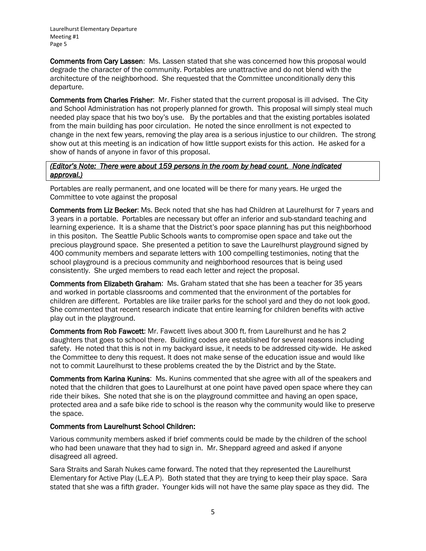Comments from Cary Lassen: Ms. Lassen stated that she was concerned how this proposal would degrade the character of the community. Portables are unattractive and do not blend with the architecture of the neighborhood. She requested that the Committee unconditionally deny this departure.

Comments from Charles Frisher: Mr. Fisher stated that the current proposal is ill advised. The City and School Administration has not properly planned for growth. This proposal will simply steal much needed play space that his two boy's use. By the portables and that the existing portables isolated from the main building has poor circulation. He noted the since enrollment is not expected to change in the next few years, removing the play area is a serious injustice to our children. The strong show out at this meeting is an indication of how little support exists for this action. He asked for a show of hands of anyone in favor of this proposal.

#### *(Editor's Note: There were about 159 persons in the room by head count. None indicated approval.)*

Portables are really permanent, and one located will be there for many years. He urged the Committee to vote against the proposal

Comments from Liz Becker: Ms. Beck noted that she has had Children at Laurelhurst for 7 years and 3 years in a portable. Portables are necessary but offer an inferior and sub-standard teaching and learning experience. It is a shame that the District's poor space planning has put this neighborhood in this positon. The Seattle Public Schools wants to compromise open space and take out the precious playground space. She presented a petition to save the Laurelhurst playground signed by 400 community members and separate letters with 100 compelling testimonies, noting that the school playground is a precious community and neighborhood resources that is being used consistently. She urged members to read each letter and reject the proposal.

Comments from Elizabeth Graham: Ms. Graham stated that she has been a teacher for 35 years and worked in portable classrooms and commented that the environment of the portables for children are different. Portables are like trailer parks for the school yard and they do not look good. She commented that recent research indicate that entire learning for children benefits with active play out in the playground.

Comments from Rob Fawcett: Mr. Fawcett lives about 300 ft. from Laurelhurst and he has 2 daughters that goes to school there. Building codes are established for several reasons including safety. He noted that this is not in my backyard issue, it needs to be addressed city-wide. He asked the Committee to deny this request. It does not make sense of the education issue and would like not to commit Laurelhurst to these problems created the by the District and by the State.

Comments from Karina Kunins: Ms. Kunins commented that she agree with all of the speakers and noted that the children that goes to Laurelhurst at one point have paved open space where they can ride their bikes. She noted that she is on the playground committee and having an open space, protected area and a safe bike ride to school is the reason why the community would like to preserve the space.

## Comments from Laurelhurst School Children:

Various community members asked if brief comments could be made by the children of the school who had been unaware that they had to sign in. Mr. Sheppard agreed and asked if anyone disagreed all agreed.

Sara Straits and Sarah Nukes came forward. The noted that they represented the Laurelhurst Elementary for Active Play (L.E.A P). Both stated that they are trying to keep their play space. Sara stated that she was a fifth grader. Younger kids will not have the same play space as they did. The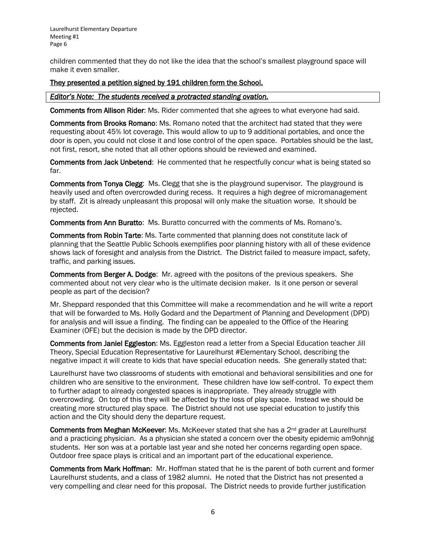children commented that they do not like the idea that the school's smallest playground space will make it even smaller.

#### They presented a petition signed by 191 children form the School.

#### *Editor's Note: The students received a protracted standing ovation.*

Comments from Allison Rider: Ms. Rider commented that she agrees to what everyone had said.

Comments from Brooks Romano: Ms. Romano noted that the architect had stated that they were requesting about 45% lot coverage. This would allow to up to 9 additional portables, and once the door is open, you could not close it and lose control of the open space. Portables should be the last, not first, resort, she noted that all other options should be reviewed and examined.

Comments from Jack Unbetend: He commented that he respectfully concur what is being stated so far.

Comments from Tonya Clegg: Ms. Clegg that she is the playground supervisor. The playground is heavily used and often overcrowded during recess. It requires a high degree of micromanagement by staff. Zit is already unpleasant this proposal will only make the situation worse. It should be rejected.

Comments from Ann Buratto: Ms. Buratto concurred with the comments of Ms. Romano's.

Comments from Robin Tarte: Ms. Tarte commented that planning does not constitute lack of planning that the Seattle Public Schools exemplifies poor planning history with all of these evidence shows lack of foresight and analysis from the District. The District failed to measure impact, safety, traffic, and parking issues.

Comments from Berger A. Dodge: Mr. agreed with the positons of the previous speakers. She commented about not very clear who is the ultimate decision maker. Is it one person or several people as part of the decision?

Mr. Sheppard responded that this Committee will make a recommendation and he will write a report that will be forwarded to Ms. Holly Godard and the Department of Planning and Development (DPD) for analysis and will issue a finding. The finding can be appealed to the Office of the Hearing Examiner (OFE) but the decision is made by the DPD director.

Comments from Janiel Eggleston: Ms. Eggleston read a letter from a Special Education teacher Jill Theory, Special Education Representative for Laurelhurst #Elementary School, describing the negative impact it will create to kids that have special education needs. She generally stated that:

Laurelhurst have two classrooms of students with emotional and behavioral sensibilities and one for children who are sensitive to the environment. These children have low self-control. To expect them to further adapt to already congested spaces is inappropriate. They already struggle with overcrowding. On top of this they will be affected by the loss of play space. Instead we should be creating more structured play space. The District should not use special education to justify this action and the City should deny the departure request.

Comments from Meghan McKeever: Ms. McKeever stated that she has a  $2^{nd}$  grader at Laurelhurst and a practicing physician. As a physician she stated a concern over the obesity epidemic am9ohnjg students. Her son was at a portable last year and she noted her concerns regarding open space. Outdoor free space plays is critical and an important part of the educational experience.

Comments from Mark Hoffman: Mr. Hoffman stated that he is the parent of both current and former Laurelhurst students, and a class of 1982 alumni. He noted that the District has not presented a very compelling and clear need for this proposal. The District needs to provide further justification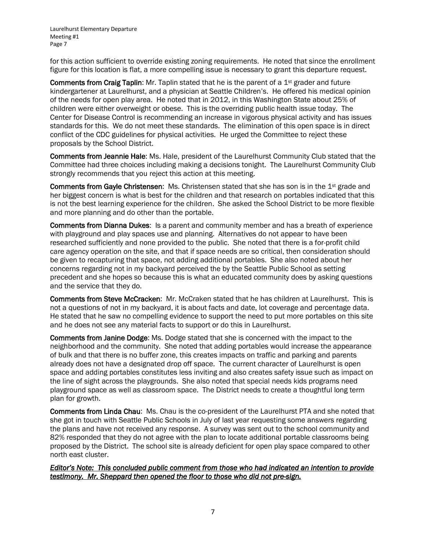for this action sufficient to override existing zoning requirements. He noted that since the enrollment figure for this location is flat, a more compelling issue is necessary to grant this departure request.

**Comments from Craig Taplin:** Mr. Taplin stated that he is the parent of a  $1<sup>st</sup>$  grader and future kindergartener at Laurelhurst, and a physician at Seattle Children's. He offered his medical opinion of the needs for open play area. He noted that in 2012, in this Washington State about 25% of children were either overweight or obese. This is the overriding public health issue today. The Center for Disease Control is recommending an increase in vigorous physical activity and has issues standards for this. We do not meet these standards. The elimination of this open space is in direct conflict of the CDC guidelines for physical activities. He urged the Committee to reject these proposals by the School District.

Comments from Jeannie Hale: Ms. Hale, president of the Laurelhurst Community Club stated that the Committee had three choices including making a decisions tonight. The Laurelhurst Community Club strongly recommends that you reject this action at this meeting.

Comments from Gayle Christensen: Ms. Christensen stated that she has son is in the 1<sup>st</sup> grade and her biggest concern is what is best for the children and that research on portables indicated that this is not the best learning experience for the children. She asked the School District to be more flexible and more planning and do other than the portable.

Comments from Dianna Dukes: Is a parent and community member and has a breath of experience with playground and play spaces use and planning. Alternatives do not appear to have been researched sufficiently and none provided to the public. She noted that there is a for-profit child care agency operation on the site, and that if space needs are so critical, then consideration should be given to recapturing that space, not adding additional portables. She also noted about her concerns regarding not in my backyard perceived the by the Seattle Public School as setting precedent and she hopes so because this is what an educated community does by asking questions and the service that they do.

Comments from Steve McCracken: Mr. McCraken stated that he has children at Laurelhurst. This is not a questions of not in my backyard, it is about facts and date, lot coverage and percentage data. He stated that he saw no compelling evidence to support the need to put more portables on this site and he does not see any material facts to support or do this in Laurelhurst.

Comments from Janine Dodge: Ms. Dodge stated that she is concerned with the impact to the neighborhood and the community. She noted that adding portables would increase the appearance of bulk and that there is no buffer zone, this creates impacts on traffic and parking and parents already does not have a designated drop off space. The current character of Laurelhurst is open space and adding portables constitutes less inviting and also creates safety issue such as impact on the line of sight across the playgrounds. She also noted that special needs kids programs need playground space as well as classroom space. The District needs to create a thoughtful long term plan for growth.

Comments from Linda Chau: Ms. Chau is the co-president of the Laurelhurst PTA and she noted that she got in touch with Seattle Public Schools in July of last year requesting some answers regarding the plans and have not received any response. A survey was sent out to the school community and 82% responded that they do not agree with the plan to locate additional portable classrooms being proposed by the District. The school site is already deficient for open play space compared to other north east cluster.

*Editor's Note: This concluded public comment from those who had indicated an intention to provide testimony. Mr. Sheppard then opened the floor to those who did not pre-sign.*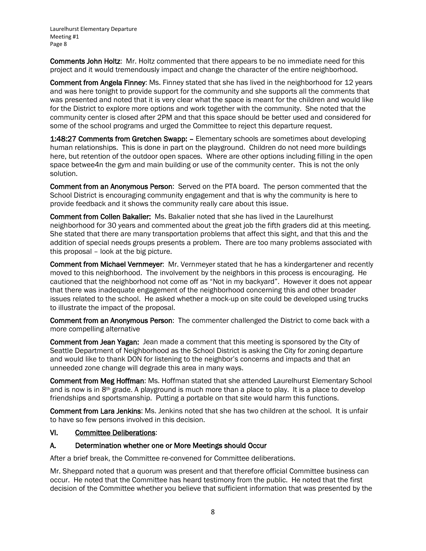Comments John Holtz: Mr. Holtz commented that there appears to be no immediate need for this project and it would tremendously impact and change the character of the entire neighborhood.

Comment from Angela Finney: Ms. Finney stated that she has lived in the neighborhood for 12 years and was here tonight to provide support for the community and she supports all the comments that was presented and noted that it is very clear what the space is meant for the children and would like for the District to explore more options and work together with the community. She noted that the community center is closed after 2PM and that this space should be better used and considered for some of the school programs and urged the Committee to reject this departure request.

1:48:27 Comments from Gretchen Swapp: – Elementary schools are sometimes about developing human relationships. This is done in part on the playground. Children do not need more buildings here, but retention of the outdoor open spaces. Where are other options including filling in the open space betwee4n the gym and main building or use of the community center. This is not the only solution.

Comment from an Anonymous Person: Served on the PTA board. The person commented that the School District is encouraging community engagement and that is why the community is here to provide feedback and it shows the community really care about this issue.

Comment from Collen Bakalier: Ms. Bakalier noted that she has lived in the Laurelhurst neighborhood for 30 years and commented about the great job the fifth graders did at this meeting. She stated that there are many transportation problems that affect this sight, and that this and the addition of special needs groups presents a problem. There are too many problems associated with this proposal – look at the big picture.

Comment from Michael Vernmeyer: Mr. Vernmeyer stated that he has a kindergartener and recently moved to this neighborhood. The involvement by the neighbors in this process is encouraging. He cautioned that the neighborhood not come off as "Not in my backyard". However it does not appear that there was inadequate engagement of the neighborhood concerning this and other broader issues related to the school. He asked whether a mock-up on site could be developed using trucks to illustrate the impact of the proposal.

Comment from an Anonymous Person: The commenter challenged the District to come back with a more compelling alternative

Comment from Jean Yagan: Jean made a comment that this meeting is sponsored by the City of Seattle Department of Neighborhood as the School District is asking the City for zoning departure and would like to thank DON for listening to the neighbor's concerns and impacts and that an unneeded zone change will degrade this area in many ways.

Comment from Meg Hoffman: Ms. Hoffman stated that she attended Laurelhurst Elementary School and is now is in 8th grade. A playground is much more than a place to play. It is a place to develop friendships and sportsmanship. Putting a portable on that site would harm this functions.

Comment from Lara Jenkins: Ms. Jenkins noted that she has two children at the school. It is unfair to have so few persons involved in this decision.

## VI. Committee Deliberations:

#### A. Determination whether one or More Meetings should Occur

After a brief break, the Committee re-convened for Committee deliberations.

Mr. Sheppard noted that a quorum was present and that therefore official Committee business can occur. He noted that the Committee has heard testimony from the public. He noted that the first decision of the Committee whether you believe that sufficient information that was presented by the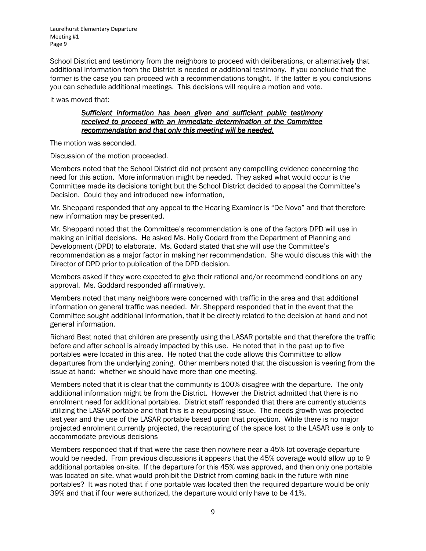School District and testimony from the neighbors to proceed with deliberations, or alternatively that additional information from the District is needed or additional testimony. If you conclude that the former is the case you can proceed with a recommendations tonight. If the latter is you conclusions you can schedule additional meetings. This decisions will require a motion and vote.

It was moved that:

#### *Sufficient information has been given and sufficient public testimony received to proceed with an immediate determination of the Committee recommendation and that only this meeting will be needed.*

The motion was seconded.

Discussion of the motion proceeded.

Members noted that the School District did not present any compelling evidence concerning the need for this action. More information might be needed. They asked what would occur is the Committee made its decisions tonight but the School District decided to appeal the Committee's Decision. Could they and introduced new information,

Mr. Sheppard responded that any appeal to the Hearing Examiner is "De Novo" and that therefore new information may be presented.

Mr. Sheppard noted that the Committee's recommendation is one of the factors DPD will use in making an initial decisions. He asked Ms. Holly Godard from the Department of Planning and Development (DPD) to elaborate. Ms. Godard stated that she will use the Committee's recommendation as a major factor in making her recommendation. She would discuss this with the Director of DPD prior to publication of the DPD decision.

Members asked if they were expected to give their rational and/or recommend conditions on any approval. Ms. Goddard responded affirmatively.

Members noted that many neighbors were concerned with traffic in the area and that additional information on general traffic was needed. Mr. Sheppard responded that in the event that the Committee sought additional information, that it be directly related to the decision at hand and not general information.

Richard Best noted that children are presently using the LASAR portable and that therefore the traffic before and after school is already impacted by this use. He noted that in the past up to five portables were located in this area. He noted that the code allows this Committee to allow departures from the underlying zoning. Other members noted that the discussion is veering from the issue at hand: whether we should have more than one meeting.

Members noted that it is clear that the community is 100% disagree with the departure. The only additional information might be from the District. However the District admitted that there is no enrolment need for additional portables. District staff responded that there are currently students utilizing the LASAR portable and that this is a repurposing issue. The needs growth was projected last year and the use of the LASAR portable based upon that projection. While there is no major projected enrolment currently projected, the recapturing of the space lost to the LASAR use is only to accommodate previous decisions

Members responded that if that were the case then nowhere near a 45% lot coverage departure would be needed. From previous discussions it appears that the 45% coverage would allow up to 9 additional portables on-site. If the departure for this 45% was approved, and then only one portable was located on site, what would prohibit the District from coming back in the future with nine portables? It was noted that if one portable was located then the required departure would be only 39% and that if four were authorized, the departure would only have to be 41%.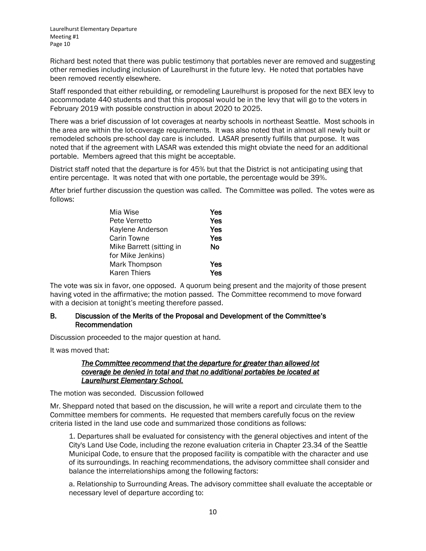Richard best noted that there was public testimony that portables never are removed and suggesting other remedies including inclusion of Laurelhurst in the future levy. He noted that portables have been removed recently elsewhere.

Staff responded that either rebuilding, or remodeling Laurelhurst is proposed for the next BEX levy to accommodate 440 students and that this proposal would be in the levy that will go to the voters in February 2019 with possible construction in about 2020 to 2025.

There was a brief discussion of lot coverages at nearby schools in northeast Seattle. Most schools in the area are within the lot-coverage requirements. It was also noted that in almost all newly built or remodeled schools pre-school day care is included. LASAR presently fulfills that purpose. It was noted that if the agreement with LASAR was extended this might obviate the need for an additional portable. Members agreed that this might be acceptable.

District staff noted that the departure is for 45% but that the District is not anticipating using that entire percentage. It was noted that with one portable, the percentage would be 39%.

After brief further discussion the question was called. The Committee was polled. The votes were as follows:

| Mia Wise                 | Yes |
|--------------------------|-----|
| Pete Verretto            | Yes |
| Kaylene Anderson         | Yes |
| Carin Towne              | Yes |
| Mike Barrett (sitting in | Nο  |
| for Mike Jenkins)        |     |
| Mark Thompson            | Yes |
| <b>Karen Thiers</b>      | Yes |

The vote was six in favor, one opposed. A quorum being present and the majority of those present having voted in the affirmative; the motion passed. The Committee recommend to move forward with a decision at tonight's meeting therefore passed.

#### B. Discussion of the Merits of the Proposal and Development of the Committee's Recommendation

Discussion proceeded to the major question at hand.

It was moved that:

#### *The Committee recommend that the departure for greater than allowed lot coverage be denied in total and that no additional portables be located at Laurelhurst Elementary School.*

The motion was seconded. Discussion followed

Mr. Sheppard noted that based on the discussion, he will write a report and circulate them to the Committee members for comments. He requested that members carefully focus on the review criteria listed in the land use code and summarized those conditions as follows:

1. Departures shall be evaluated for consistency with the general objectives and intent of the City's Land Use Code, including the rezone evaluation criteria in Chapter 23.34 of the Seattle Municipal Code, to ensure that the proposed facility is compatible with the character and use of its surroundings. In reaching recommendations, the advisory committee shall consider and balance the interrelationships among the following factors:

a. Relationship to Surrounding Areas. The advisory committee shall evaluate the acceptable or necessary level of departure according to: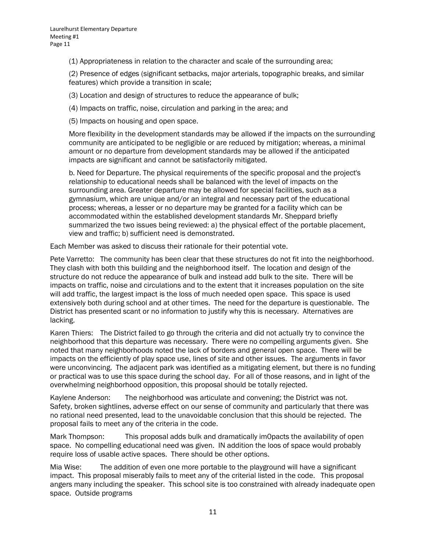(1) Appropriateness in relation to the character and scale of the surrounding area;

(2) Presence of edges (significant setbacks, major arterials, topographic breaks, and similar features) which provide a transition in scale;

(3) Location and design of structures to reduce the appearance of bulk;

(4) Impacts on traffic, noise, circulation and parking in the area; and

(5) Impacts on housing and open space.

More flexibility in the development standards may be allowed if the impacts on the surrounding community are anticipated to be negligible or are reduced by mitigation; whereas, a minimal amount or no departure from development standards may be allowed if the anticipated impacts are significant and cannot be satisfactorily mitigated.

b. Need for Departure. The physical requirements of the specific proposal and the project's relationship to educational needs shall be balanced with the level of impacts on the surrounding area. Greater departure may be allowed for special facilities, such as a gymnasium, which are unique and/or an integral and necessary part of the educational process; whereas, a lesser or no departure may be granted for a facility which can be accommodated within the established development standards Mr. Sheppard briefly summarized the two issues being reviewed: a) the physical effect of the portable placement, view and traffic; b) sufficient need is demonstrated.

Each Member was asked to discuss their rationale for their potential vote.

Pete Varretto: The community has been clear that these structures do not fit into the neighborhood. They clash with both this building and the neighborhood itself. The location and design of the structure do not reduce the appearance of bulk and instead add bulk to the site. There will be impacts on traffic, noise and circulations and to the extent that it increases population on the site will add traffic, the largest impact is the loss of much needed open space. This space is used extensively both during school and at other times. The need for the departure is questionable. The District has presented scant or no information to justify why this is necessary. Alternatives are lacking.

Karen Thiers: The District failed to go through the criteria and did not actually try to convince the neighborhood that this departure was necessary. There were no compelling arguments given. She noted that many neighborhoods noted the lack of borders and general open space. There will be impacts on the efficiently of play space use, lines of site and other issues. The arguments in favor were unconvincing. The adjacent park was identified as a mitigating element, but there is no funding or practical was to use this space during the school day. For all of those reasons, and in light of the overwhelming neighborhood opposition, this proposal should be totally rejected.

Kaylene Anderson: The neighborhood was articulate and convening; the District was not. Safety, broken sightlines, adverse effect on our sense of community and particularly that there was no rational need presented, lead to the unavoidable conclusion that this should be rejected. The proposal fails to meet any of the criteria in the code.

Mark Thompson: This proposal adds bulk and dramatically im0pacts the availability of open space. No compelling educational need was given. IN addition the loos of space would probably require loss of usable active spaces. There should be other options.

Mia Wise: The addition of even one more portable to the playground will have a significant impact. This proposal miserably fails to meet any of the criterial listed in the code. This proposal angers many including the speaker. This school site is too constrained with already inadequate open space. Outside programs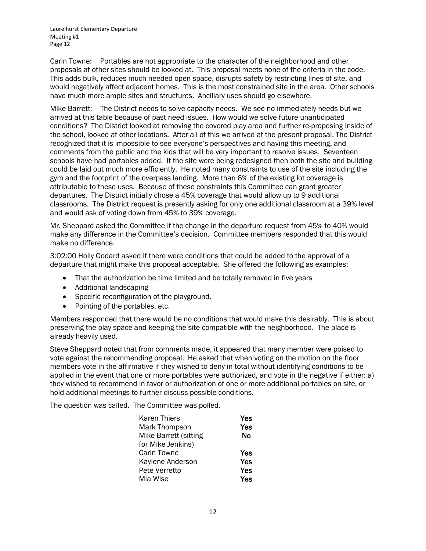Carin Towne: Portables are not appropriate to the character of the neighborhood and other proposals at other sites should be looked at. This proposal meets none of the criteria in the code. This adds bulk, reduces much needed open space, disrupts safety by restricting lines of site, and would negatively affect adjacent homes. This is the most constrained site in the area. Other schools have much more ample sites and structures. Ancillary uses should go elsewhere.

Mike Barrett: The District needs to solve capacity needs. We see no immediately needs but we arrived at this table because of past need issues. How would we solve future unanticipated conditions? The District looked at removing the covered play area and further re-proposing inside of the school, looked at other locations. After all of this we arrived at the present proposal. The District recognized that it is impossible to see everyone's perspectives and having this meeting, and comments from the public and the kids that will be very important to resolve issues. Seventeen schools have had portables added. If the site were being redesigned then both the site and building could be laid out much more efficiently. He noted many constraints to use of the site including the gym and the footprint of the overpass landing. More than 6% of the existing lot coverage is attributable to these uses. Because of these constraints this Committee can grant greater departures. The District initially chose a 45% coverage that would allow up to 9 additional classrooms. The District request is presently asking for only one additional classroom at a 39% level and would ask of voting down from 45% to 39% coverage.

Mr. Sheppard asked the Committee if the change in the departure request from 45% to 40% would make any difference in the Committee's decision. Committee members responded that this would make no difference.

3:02:00 Holly Godard asked if there were conditions that could be added to the approval of a departure that might make this proposal acceptable. She offered the following as examples:

- That the authorization be time limited and be totally removed in five years
- Additional landscaping
- Specific reconfiguration of the playground.
- Pointing of the portables, etc.

Members responded that there would be no conditions that would make this desirably. This is about preserving the play space and keeping the site compatible with the neighborhood. The place is already heavily used.

Steve Sheppard noted that from comments made, it appeared that many member were poised to vote against the recommending proposal. He asked that when voting on the motion on the floor members vote in the affirmative if they wished to deny in total without identifying conditions to be applied in the event that one or more portables were authorized, and vote in the negative if either: a) they wished to recommend in favor or authorization of one or more additional portables on site, or hold additional meetings to further discuss possible conditions.

The question was called. The Committee was polled.

| Karen Thiers          | Yes |
|-----------------------|-----|
| Mark Thompson         | Yes |
| Mike Barrett (sitting | No  |
| for Mike Jenkins)     |     |
| Carin Towne           | Yes |
| Kaylene Anderson      | Yes |
| Pete Verretto         | Yes |
| Mia Wise              | Yes |